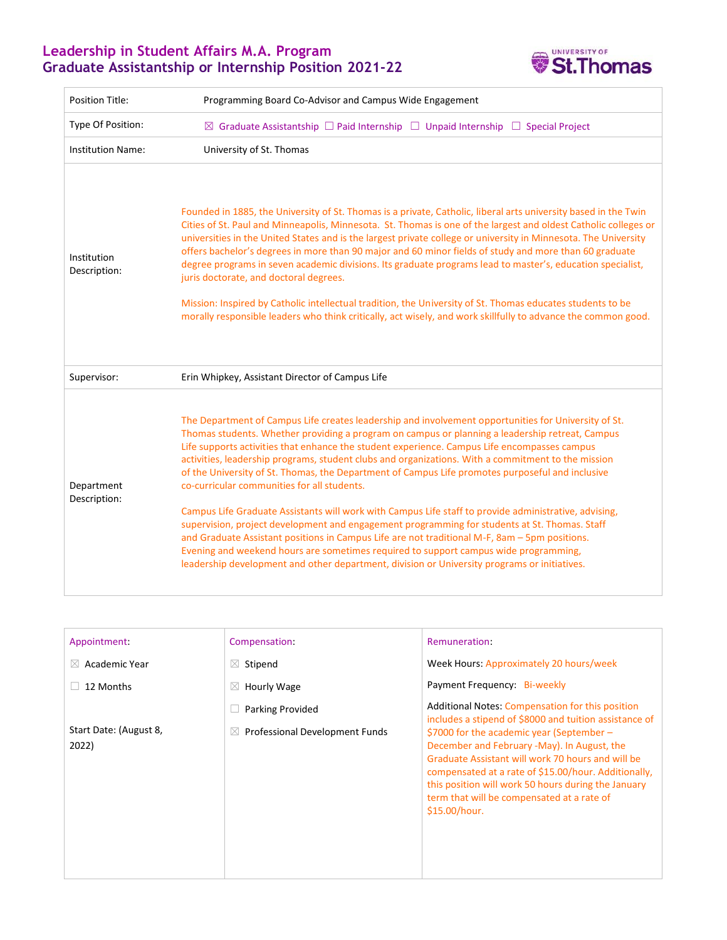# **Leadership in Student Affairs M.A. Program Graduate Assistantship or Internship Position 2021-22**



| <b>Position Title:</b>      | Programming Board Co-Advisor and Campus Wide Engagement                                                                                                                                                                                                                                                                                                                                                                                                                                                                                                                                                                                                                                                                                                                                                                                                                                                                                                                                                                                                             |  |  |
|-----------------------------|---------------------------------------------------------------------------------------------------------------------------------------------------------------------------------------------------------------------------------------------------------------------------------------------------------------------------------------------------------------------------------------------------------------------------------------------------------------------------------------------------------------------------------------------------------------------------------------------------------------------------------------------------------------------------------------------------------------------------------------------------------------------------------------------------------------------------------------------------------------------------------------------------------------------------------------------------------------------------------------------------------------------------------------------------------------------|--|--|
| Type Of Position:           | $\boxtimes$ Graduate Assistantship $\Box$ Paid Internship $\Box$ Unpaid Internship $\Box$ Special Project                                                                                                                                                                                                                                                                                                                                                                                                                                                                                                                                                                                                                                                                                                                                                                                                                                                                                                                                                           |  |  |
| <b>Institution Name:</b>    | University of St. Thomas                                                                                                                                                                                                                                                                                                                                                                                                                                                                                                                                                                                                                                                                                                                                                                                                                                                                                                                                                                                                                                            |  |  |
| Institution<br>Description: | Founded in 1885, the University of St. Thomas is a private, Catholic, liberal arts university based in the Twin<br>Cities of St. Paul and Minneapolis, Minnesota. St. Thomas is one of the largest and oldest Catholic colleges or<br>universities in the United States and is the largest private college or university in Minnesota. The University<br>offers bachelor's degrees in more than 90 major and 60 minor fields of study and more than 60 graduate<br>degree programs in seven academic divisions. Its graduate programs lead to master's, education specialist,<br>juris doctorate, and doctoral degrees.<br>Mission: Inspired by Catholic intellectual tradition, the University of St. Thomas educates students to be<br>morally responsible leaders who think critically, act wisely, and work skillfully to advance the common good.                                                                                                                                                                                                              |  |  |
| Supervisor:                 | Erin Whipkey, Assistant Director of Campus Life                                                                                                                                                                                                                                                                                                                                                                                                                                                                                                                                                                                                                                                                                                                                                                                                                                                                                                                                                                                                                     |  |  |
| Department<br>Description:  | The Department of Campus Life creates leadership and involvement opportunities for University of St.<br>Thomas students. Whether providing a program on campus or planning a leadership retreat, Campus<br>Life supports activities that enhance the student experience. Campus Life encompasses campus<br>activities, leadership programs, student clubs and organizations. With a commitment to the mission<br>of the University of St. Thomas, the Department of Campus Life promotes purposeful and inclusive<br>co-curricular communities for all students.<br>Campus Life Graduate Assistants will work with Campus Life staff to provide administrative, advising,<br>supervision, project development and engagement programming for students at St. Thomas. Staff<br>and Graduate Assistant positions in Campus Life are not traditional M-F, 8am - 5pm positions.<br>Evening and weekend hours are sometimes required to support campus wide programming,<br>leadership development and other department, division or University programs or initiatives. |  |  |

| Appointment:<br>Academic Year<br>$\bowtie$<br>12 Months | Compensation:<br>Stipend<br>$\boxtimes$<br>Hourly Wage<br>$\boxtimes$ | Remuneration:<br>Week Hours: Approximately 20 hours/week<br>Payment Frequency: Bi-weekly                                                                                                                                                                                                                                                                                                                                                    |
|---------------------------------------------------------|-----------------------------------------------------------------------|---------------------------------------------------------------------------------------------------------------------------------------------------------------------------------------------------------------------------------------------------------------------------------------------------------------------------------------------------------------------------------------------------------------------------------------------|
| Start Date: (August 8,<br>2022)                         | Parking Provided<br>Professional Development Funds<br>$\bowtie$       | Additional Notes: Compensation for this position<br>includes a stipend of \$8000 and tuition assistance of<br>\$7000 for the academic year (September $-$<br>December and February -May). In August, the<br>Graduate Assistant will work 70 hours and will be<br>compensated at a rate of \$15.00/hour. Additionally,<br>this position will work 50 hours during the January<br>term that will be compensated at a rate of<br>\$15.00/hour. |